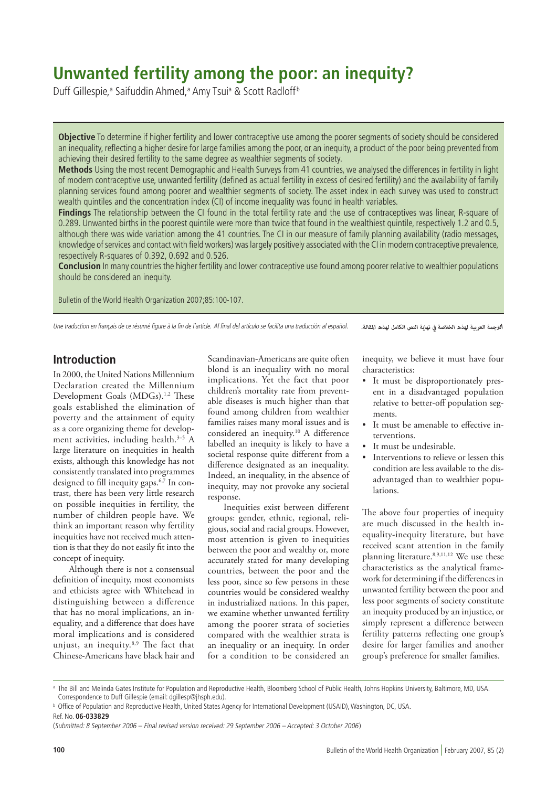# **Unwanted fertility among the poor: an inequity?**

Duff Gillespie,ª Saifuddin Ahmed,ª Amy Tsuiª & Scott Radloff<sup>b</sup>

**Objective** To determine if higher fertility and lower contraceptive use among the poorer segments of society should be considered an inequality, reflecting a higher desire for large families among the poor, or an inequity, a product of the poor being prevented from achieving their desired fertility to the same degree as wealthier segments of society.

**Methods** Using the most recent Demographic and Health Surveys from 41 countries, we analysed the differences in fertility in light of modern contraceptive use, unwanted fertility (defined as actual fertility in excess of desired fertility) and the availability of family planning services found among poorer and wealthier segments of society. The asset index in each survey was used to construct wealth quintiles and the concentration index (CI) of income inequality was found in health variables.

**Findings** The relationship between the CI found in the total fertility rate and the use of contraceptives was linear, R-square of 0.289. Unwanted births in the poorest quintile were more than twice that found in the wealthiest quintile, respectively 1.2 and 0.5, although there was wide variation among the 41 countries. The CI in our measure of family planning availability (radio messages, knowledge of services and contact with field workers) was largely positively associated with the CI in modern contraceptive prevalence, respectively R-squares of 0.392, 0.692 and 0.526.

**Conclusion** In many countries the higher fertility and lower contraceptive use found among poorer relative to wealthier populations should be considered an inequity.

Bulletin of the World Health Organization 2007;85:100-107.

Une traduction en français de ce résumé figure à la fin de l'article. Al final del artículo se facilita una traducción al español. *.املقالة لهذه الكامل النص نهاية يف الخالصة لهذه العربية الرتجمة*

# **Introduction**

In 2000, the United Nations Millennium Declaration created the Millennium Development Goals (MDGs).<sup>1,2</sup> These goals established the elimination of poverty and the attainment of equity as a core organizing theme for development activities, including health.<sup>3-5</sup> A large literature on inequities in health exists, although this knowledge has not consistently translated into programmes designed to fill inequity gaps.6,7 In contrast, there has been very little research on possible inequities in fertility, the number of children people have. We think an important reason why fertility inequities have not received much attention is that they do not easily fit into the concept of inequity.

Although there is not a consensual definition of inequity, most economists and ethicists agree with Whitehead in distinguishing between a difference that has no moral implications, an inequality, and a difference that does have moral implications and is considered unjust, an inequity.8,9 The fact that Chinese-Americans have black hair and

Scandinavian-Americans are quite often blond is an inequality with no moral implications. Yet the fact that poor children's mortality rate from preventable diseases is much higher than that found among children from wealthier families raises many moral issues and is considered an inequity.10 A difference labelled an inequity is likely to have a societal response quite different from a difference designated as an inequality. Indeed, an inequality, in the absence of inequity, may not provoke any societal response.

Inequities exist between different groups: gender, ethnic, regional, religious, social and racial groups. However, most attention is given to inequities between the poor and wealthy or, more accurately stated for many developing countries, between the poor and the less poor, since so few persons in these countries would be considered wealthy in industrialized nations. In this paper, we examine whether unwanted fertility among the poorer strata of societies compared with the wealthier strata is an inequality or an inequity. In order for a condition to be considered an

inequity, we believe it must have four characteristics:

- It must be disproportionately present in a disadvantaged population relative to better-off population segments.
- It must be amenable to effective interventions.
- It must be undesirable. •
- Interventions to relieve or lessen this condition are less available to the disadvantaged than to wealthier populations. •

The above four properties of inequity are much discussed in the health inequality-inequity literature, but have received scant attention in the family planning literature.<sup>8,9,11,12</sup> We use these characteristics as the analytical framework for determining if the differences in unwanted fertility between the poor and less poor segments of society constitute an inequity produced by an injustice, or simply represent a difference between fertility patterns reflecting one group's desire for larger families and another group's preference for smaller families.

a The Bill and Melinda Gates Institute for Population and Reproductive Health, Bloomberg School of Public Health, Johns Hopkins University, Baltimore, MD, USA. Correspondence to Duff Gillespie (email: dgillesp@jhsph.edu).

**b** Office of Population and Reproductive Health, United States Agency for International Development (USAID), Washington, DC, USA.

Ref. No. **06-033829**

<sup>(</sup>Submitted: 8 September 2006 – Final revised version received: 29 September 2006 – Accepted: 3 October 2006)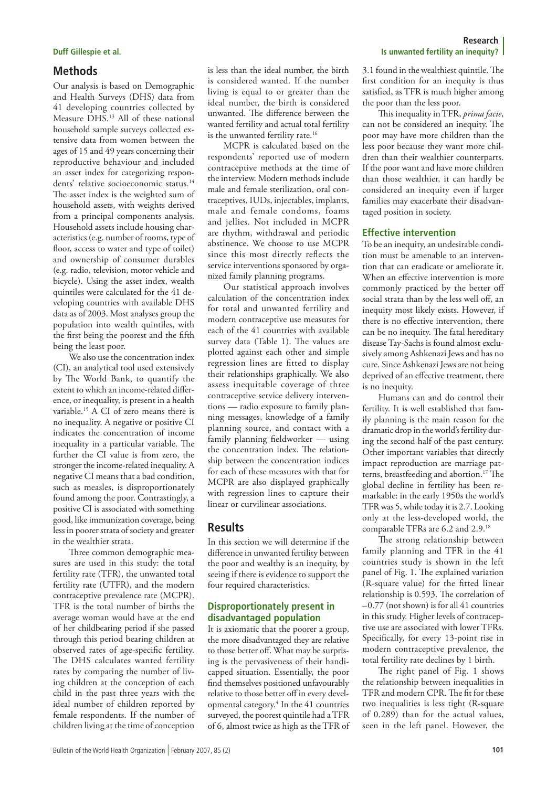# **Methods**

Our analysis is based on Demographic and Health Surveys (DHS) data from 41 developing countries collected by Measure DHS.13 All of these national household sample surveys collected extensive data from women between the ages of 15 and 49 years concerning their reproductive behaviour and included an asset index for categorizing respondents' relative socioeconomic status.<sup>14</sup> The asset index is the weighted sum of household assets, with weights derived from a principal components analysis. Household assets include housing characteristics (e.g. number of rooms, type of floor, access to water and type of toilet) and ownership of consumer durables (e.g. radio, television, motor vehicle and bicycle). Using the asset index, wealth quintiles were calculated for the 41 developing countries with available DHS data as of 2003. Most analyses group the population into wealth quintiles, with the first being the poorest and the fifth being the least poor.

We also use the concentration index (CI), an analytical tool used extensively by The World Bank, to quantify the extent to which an income-related difference, or inequality, is present in a health variable.15 A CI of zero means there is no inequality. A negative or positive CI indicates the concentration of income inequality in a particular variable. The further the CI value is from zero, the stronger the income-related inequality. A negative CI means that a bad condition, such as measles, is disproportionately found among the poor. Contrastingly, a positive CI is associated with something good, like immunization coverage, being less in poorer strata of society and greater in the wealthier strata.

Three common demographic measures are used in this study: the total fertility rate (TFR), the unwanted total fertility rate (UTFR), and the modern contraceptive prevalence rate (MCPR). TFR is the total number of births the average woman would have at the end of her childbearing period if she passed through this period bearing children at observed rates of age-specific fertility. The DHS calculates wanted fertility rates by comparing the number of living children at the conception of each child in the past three years with the ideal number of children reported by female respondents. If the number of children living at the time of conception

is less than the ideal number, the birth is considered wanted. If the number living is equal to or greater than the ideal number, the birth is considered unwanted. The difference between the wanted fertility and actual total fertility is the unwanted fertility rate.<sup>16</sup>

MCPR is calculated based on the respondents' reported use of modern contraceptive methods at the time of the interview. Modern methods include male and female sterilization, oral contraceptives, IUDs, injectables, implants, male and female condoms, foams and jellies. Not included in MCPR are rhythm, withdrawal and periodic abstinence. We choose to use MCPR since this most directly reflects the service interventions sponsored by organized family planning programs.

Our statistical approach involves calculation of the concentration index for total and unwanted fertility and modern contraceptive use measures for each of the 41 countries with available survey data (Table 1). The values are plotted against each other and simple regression lines are fitted to display their relationships graphically. We also assess inequitable coverage of three contraceptive service delivery interventions — radio exposure to family planning messages, knowledge of a family planning source, and contact with a family planning fieldworker — using the concentration index. The relationship between the concentration indices for each of these measures with that for MCPR are also displayed graphically with regression lines to capture their linear or curvilinear associations.

# **Results**

In this section we will determine if the difference in unwanted fertility between the poor and wealthy is an inequity, by seeing if there is evidence to support the four required characteristics.

# **Disproportionately present in disadvantaged population**

It is axiomatic that the poorer a group, the more disadvantaged they are relative to those better off. What may be surprising is the pervasiveness of their handicapped situation. Essentially, the poor find themselves positioned unfavourably relative to those better off in every developmental category.4 In the 41 countries surveyed, the poorest quintile had a TFR of 6, almost twice as high as the TFR of

### **Research Duff Gillespie et al. Is unwanted fertility an inequity?**

3.1 found in the wealthiest quintile. The first condition for an inequity is thus satisfied, as TFR is much higher among the poor than the less poor.

This inequality in TFR, *prima facie*, can not be considered an inequity. The poor may have more children than the less poor because they want more children than their wealthier counterparts. If the poor want and have more children than those wealthier, it can hardly be considered an inequity even if larger families may exacerbate their disadvantaged position in society.

# **Effective intervention**

To be an inequity, an undesirable condition must be amenable to an intervention that can eradicate or ameliorate it. When an effective intervention is more commonly practiced by the better off social strata than by the less well off, an inequity most likely exists. However, if there is no effective intervention, there can be no inequity. The fatal hereditary disease Tay-Sachs is found almost exclusively among Ashkenazi Jews and has no cure. Since Ashkenazi Jews are not being deprived of an effective treatment, there is no inequity.

Humans can and do control their fertility. It is well established that family planning is the main reason for the dramatic drop in the world's fertility during the second half of the past century. Other important variables that directly impact reproduction are marriage patterns, breastfeeding and abortion.17 The global decline in fertility has been remarkable: in the early 1950s the world's TFR was 5, while today it is 2.7. Looking only at the less-developed world, the comparable TFRs are 6.2 and 2.9.18

The strong relationship between family planning and TFR in the 41 countries study is shown in the left panel of Fig. 1. The explained variation (R-square value) for the fitted linear relationship is 0.593. The correlation of  $-0.77$  (not shown) is for all 41 countries in this study. Higher levels of contraceptive use are associated with lower TFRs. Specifically, for every 13-point rise in modern contraceptive prevalence, the total fertility rate declines by 1 birth.

The right panel of Fig. 1 shows the relationship between inequalities in TFR and modern CPR. The fit for these two inequalities is less tight (R-square of 0.289) than for the actual values, seen in the left panel. However, the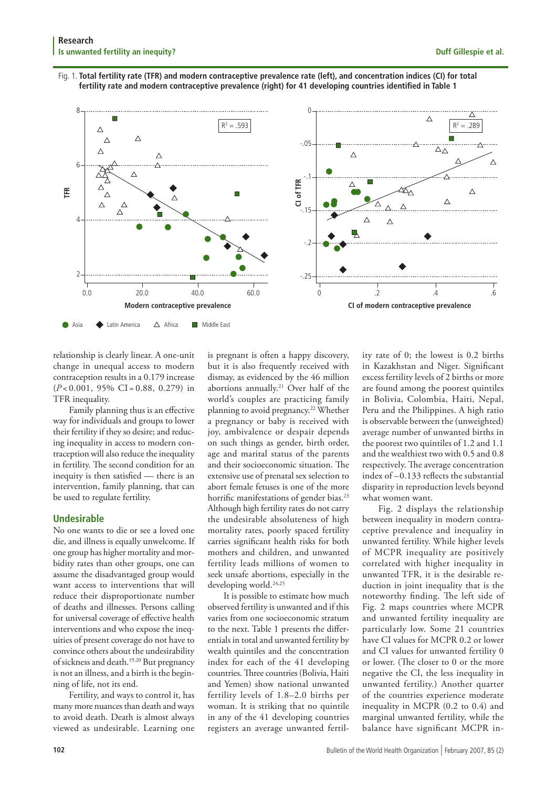# Fig. 1. **Total fertility rate (TFR) and modern contraceptive prevalence rate (left), and concentration indices (CI) for total fertility rate and modern contraceptive prevalence (right) for 41 developing countries identified in Table 1**



relationship is clearly linear. A one-unit change in unequal access to modern contraception results in a 0.179 increase  $(P<0.001, 95\% \text{ CI} = 0.88, 0.279)$  in TFR inequality.

Family planning thus is an effective way for individuals and groups to lower their fertility if they so desire; and reducing inequality in access to modern contraception will also reduce the inequality in fertility. The second condition for an inequity is then satisfied — there is an intervention, family planning, that can be used to regulate fertility.

### **Undesirable**

No one wants to die or see a loved one die, and illness is equally unwelcome. If one group has higher mortality and morbidity rates than other groups, one can assume the disadvantaged group would want access to interventions that will reduce their disproportionate number of deaths and illnesses. Persons calling for universal coverage of effective health interventions and who expose the inequities of present coverage do not have to convince others about the undesirability of sickness and death.19,20 But pregnancy is not an illness, and a birth is the beginning of life, not its end.

Fertility, and ways to control it, has many more nuances than death and ways to avoid death. Death is almost always viewed as undesirable. Learning one

is pregnant is often a happy discovery, but it is also frequently received with dismay, as evidenced by the 46 million abortions annually.<sup>21</sup> Over half of the world's couples are practicing family planning to avoid pregnancy.<sup>22</sup> Whether a pregnancy or baby is received with joy, ambivalence or despair depends on such things as gender, birth order, age and marital status of the parents and their socioeconomic situation. The extensive use of prenatal sex selection to abort female fetuses is one of the more horrific manifestations of gender bias.<sup>23</sup> Although high fertility rates do not carry the undesirable absoluteness of high mortality rates, poorly spaced fertility carries significant health risks for both mothers and children, and unwanted fertility leads millions of women to seek unsafe abortions, especially in the developing world.24,25

It is possible to estimate how much observed fertility is unwanted and if this varies from one socioeconomic stratum to the next. Table 1 presents the differentials in total and unwanted fertility by wealth quintiles and the concentration index for each of the 41 developing countries. Three countries (Bolivia, Haiti and Yemen) show national unwanted fertility levels of 1.8–2.0 births per woman. It is striking that no quintile in any of the 41 developing countries registers an average unwanted fertility rate of 0; the lowest is 0.2 births in Kazakhstan and Niger. Significant excess fertility levels of 2 births or more are found among the poorest quintiles in Bolivia, Colombia, Haiti, Nepal, Peru and the Philippines. A high ratio is observable between the (unweighted) average number of unwanted births in the poorest two quintiles of 1.2 and 1.1 and the wealthiest two with 0.5 and 0.8 respectively. The average concentration index of –0.133 reflects the substantial disparity in reproduction levels beyond what women want.

Fig. 2 displays the relationship between inequality in modern contraceptive prevalence and inequality in unwanted fertility. While higher levels of MCPR inequality are positively correlated with higher inequality in unwanted TFR, it is the desirable reduction in joint inequality that is the noteworthy finding. The left side of Fig. 2 maps countries where MCPR and unwanted fertility inequality are particularly low. Some 21 countries have CI values for MCPR 0.2 or lower and CI values for unwanted fertility 0 or lower. (The closer to 0 or the more negative the CI, the less inequality in unwanted fertility.) Another quarter of the countries experience moderate inequality in MCPR (0.2 to 0.4) and marginal unwanted fertility, while the balance have significant MCPR in-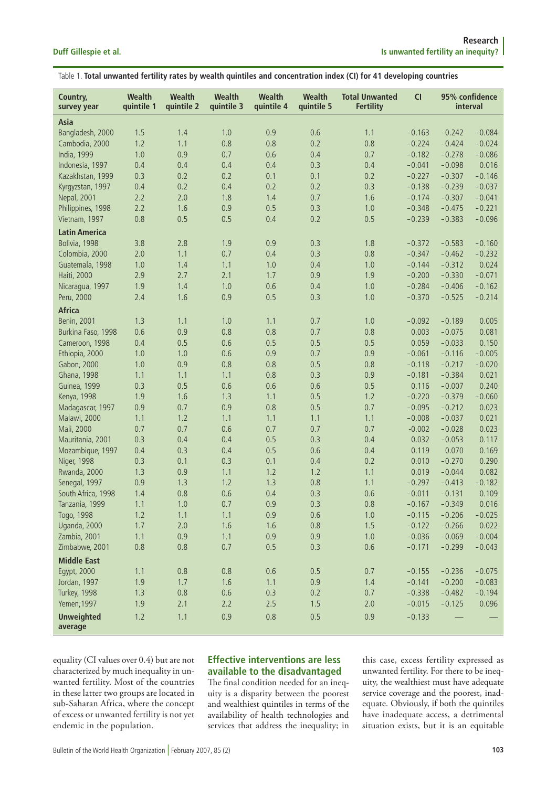| Table 1. Total unwanted fertility rates by wealth quintiles and concentration index (CI) for 41 developing countries |
|----------------------------------------------------------------------------------------------------------------------|
|----------------------------------------------------------------------------------------------------------------------|

| Country,<br>survey year | Wealth<br>quintile 1 | Wealth<br>quintile 2 | Wealth<br>quintile 3 | Wealth<br>quintile 4 | Wealth<br>quintile 5 | <b>Total Unwanted</b><br><b>Fertility</b> | CI       | 95% confidence<br>interval |          |
|-------------------------|----------------------|----------------------|----------------------|----------------------|----------------------|-------------------------------------------|----------|----------------------------|----------|
| Asia                    |                      |                      |                      |                      |                      |                                           |          |                            |          |
| Bangladesh, 2000        | 1.5                  | 1.4                  | 1.0                  | 0.9                  | 0.6                  | 1.1                                       | $-0.163$ | $-0.242$                   | $-0.084$ |
| Cambodia, 2000          | 1.2                  | 1.1                  | 0.8                  | 0.8                  | 0.2                  | 0.8                                       | $-0.224$ | $-0.424$                   | $-0.024$ |
| India, 1999             | 1.0                  | 0.9                  | 0.7                  | 0.6                  | 0.4                  | 0.7                                       | $-0.182$ | $-0.278$                   | $-0.086$ |
| Indonesia, 1997         | 0.4                  | 0.4                  | 0.4                  | 0.4                  | 0.3                  | 0.4                                       | $-0.041$ | $-0.098$                   | 0.016    |
| Kazakhstan, 1999        | 0.3                  | 0.2                  | 0.2                  | 0.1                  | 0.1                  | 0.2                                       | $-0.227$ | $-0.307$                   | $-0.146$ |
| Kyrgyzstan, 1997        | 0.4                  | 0.2                  | 0.4                  | 0.2                  | 0.2                  | 0.3                                       | $-0.138$ | $-0.239$                   | $-0.037$ |
| Nepal, 2001             | 2.2                  | 2.0                  | 1.8                  | 1.4                  | 0.7                  | 1.6                                       | $-0.174$ | $-0.307$                   | $-0.041$ |
| Philippines, 1998       | 2.2                  | 1.6                  | 0.9                  | 0.5                  | 0.3                  | 1.0                                       | $-0.348$ | $-0.475$                   | $-0.221$ |
| Vietnam, 1997           | 0.8                  | 0.5                  | 0.5                  | 0.4                  | 0.2                  | 0.5                                       | $-0.239$ | $-0.383$                   | $-0.096$ |
| <b>Latin America</b>    |                      |                      |                      |                      |                      |                                           |          |                            |          |
| Bolivia, 1998           | 3.8                  | 2.8                  | 1.9                  | 0.9                  | 0.3                  | 1.8                                       | $-0.372$ | $-0.583$                   | $-0.160$ |
| Colombia, 2000          | 2.0                  | 1.1                  | 0.7                  | 0.4                  | 0.3                  | 0.8                                       | $-0.347$ | $-0.462$                   | $-0.232$ |
|                         |                      | 1.4                  | 1.1                  | 1.0                  |                      | 1.0                                       |          |                            |          |
| Guatemala, 1998         | 1.0                  |                      |                      |                      | 0.4                  |                                           | $-0.144$ | $-0.312$                   | 0.024    |
| <b>Haiti, 2000</b>      | 2.9                  | 2.7                  | 2.1                  | 1.7                  | 0.9                  | 1.9                                       | $-0.200$ | $-0.330$                   | $-0.071$ |
| Nicaragua, 1997         | 1.9                  | 1.4                  | 1.0                  | 0.6                  | 0.4                  | 1.0                                       | $-0.284$ | $-0.406$                   | $-0.162$ |
| Peru, 2000              | 2.4                  | 1.6                  | 0.9                  | 0.5                  | 0.3                  | 1.0                                       | $-0.370$ | $-0.525$                   | $-0.214$ |
| <b>Africa</b>           |                      |                      |                      |                      |                      |                                           |          |                            |          |
| Benin, 2001             | 1.3                  | 1.1                  | 1.0                  | 1.1                  | 0.7                  | 1.0                                       | $-0.092$ | $-0.189$                   | 0.005    |
| Burkina Faso, 1998      | 0.6                  | 0.9                  | 0.8                  | 0.8                  | 0.7                  | 0.8                                       | 0.003    | $-0.075$                   | 0.081    |
| Cameroon, 1998          | 0.4                  | 0.5                  | 0.6                  | 0.5                  | 0.5                  | 0.5                                       | 0.059    | $-0.033$                   | 0.150    |
| Ethiopia, 2000          | 1.0                  | 1.0                  | 0.6                  | 0.9                  | 0.7                  | 0.9                                       | $-0.061$ | $-0.116$                   | $-0.005$ |
| Gabon, 2000             | 1.0                  | 0.9                  | 0.8                  | 0.8                  | 0.5                  | 0.8                                       | $-0.118$ | $-0.217$                   | $-0.020$ |
| Ghana, 1998             | 1.1                  | 1.1                  | 1.1                  | 0.8                  | 0.3                  | 0.9                                       | $-0.181$ | $-0.384$                   | 0.021    |
| Guinea, 1999            | 0.3                  | 0.5                  | 0.6                  | 0.6                  | 0.6                  | 0.5                                       | 0.116    | $-0.007$                   | 0.240    |
| Kenya, 1998             | 1.9                  | 1.6                  | 1.3                  | 1.1                  | 0.5                  | 1.2                                       | $-0.220$ | $-0.379$                   | $-0.060$ |
| Madagascar, 1997        | 0.9                  | 0.7                  | 0.9                  | 0.8                  | 0.5                  | 0.7                                       | $-0.095$ | $-0.212$                   | 0.023    |
| Malawi, 2000            | 1.1                  | 1.2                  | 1.1                  | 1.1                  | 1.1                  | 1.1                                       | $-0.008$ | $-0.037$                   | 0.021    |
| Mali, 2000              | 0.7                  | 0.7                  | 0.6                  | 0.7                  | 0.7                  | 0.7                                       | $-0.002$ | $-0.028$                   | 0.023    |
| Mauritania, 2001        | 0.3                  | 0.4                  | 0.4                  | 0.5                  | 0.3                  | 0.4                                       | 0.032    | $-0.053$                   | 0.117    |
| Mozambique, 1997        | 0.4                  | 0.3                  | 0.4                  | 0.5                  | 0.6                  | 0.4                                       | 0.119    | 0.070                      | 0.169    |
| Niger, 1998             | 0.3                  | 0.1                  | 0.3                  | 0.1                  | 0.4                  | 0.2                                       | 0.010    | $-0.270$                   | 0.290    |
| Rwanda, 2000            | 1.3                  | 0.9                  | 1.1                  | 1.2                  | 1.2                  | 1.1                                       | 0.019    | $-0.044$                   | 0.082    |
| Senegal, 1997           | 0.9                  | 1.3                  | 1.2                  | 1.3                  | 0.8                  | 1.1                                       | $-0.297$ | $-0.413$                   | $-0.182$ |
| South Africa, 1998      | 1.4                  | 0.8                  | 0.6                  | 0.4                  | 0.3                  | 0.6                                       | $-0.011$ | $-0.131$                   | 0.109    |
| Tanzania, 1999          | 1.1                  | $1.0\,$              | 0.7                  | 0.9                  | 0.3                  | 0.8                                       | $-0.167$ | $-0.349$                   | 0.016    |
| Togo, 1998              | 1.2                  | 1.1                  | 1.1                  | 0.9                  | 0.6                  | 1.0                                       | $-0.115$ | $-0.206$                   | $-0.025$ |
| Uganda, 2000            | 1.7                  | 2.0                  | 1.6                  | 1.6                  | 0.8                  | 1.5                                       | $-0.122$ | $-0.266$                   | 0.022    |
| Zambia, 2001            | 1.1                  | 0.9                  | 1.1                  | 0.9                  | 0.9                  | 1.0                                       | $-0.036$ | $-0.069$                   | $-0.004$ |
| Zimbabwe, 2001          | $0.8\,$              | 0.8                  | 0.7                  | 0.5                  | 0.3                  | 0.6                                       | $-0.171$ | $-0.299$                   | $-0.043$ |
| <b>Middle East</b>      |                      |                      |                      |                      |                      |                                           |          |                            |          |
| Egypt, 2000             | 1.1                  | 0.8                  | 0.8                  | $0.6\,$              | 0.5                  | 0.7                                       | $-0.155$ | $-0.236$                   | $-0.075$ |
| Jordan, 1997            | 1.9                  | 1.7                  | 1.6                  | 1.1                  | 0.9                  | 1.4                                       | $-0.141$ | $-0.200$                   | $-0.083$ |
| Turkey, 1998            | 1.3                  | 0.8                  | 0.6                  | 0.3                  | 0.2                  | 0.7                                       | $-0.338$ | $-0.482$                   | $-0.194$ |
| Yemen, 1997             | 1.9                  | 2.1                  | 2.2                  | 2.5                  | 1.5                  | 2.0                                       | $-0.015$ | $-0.125$                   | 0.096    |
| <b>Unweighted</b>       | 1.2                  | 1.1                  | 0.9                  | 0.8                  | 0.5                  | 0.9                                       | $-0.133$ |                            |          |
| average                 |                      |                      |                      |                      |                      |                                           |          |                            |          |

equality (CI values over 0.4) but are not characterized by much inequality in unwanted fertility. Most of the countries in these latter two groups are located in sub-Saharan Africa, where the concept of excess or unwanted fertility is not yet endemic in the population.

# **Effective interventions are less available to the disadvantaged**

The final condition needed for an inequity is a disparity between the poorest and wealthiest quintiles in terms of the availability of health technologies and services that address the inequality; in

this case, excess fertility expressed as unwanted fertility. For there to be inequity, the wealthiest must have adequate service coverage and the poorest, inadequate. Obviously, if both the quintiles have inadequate access, a detrimental situation exists, but it is an equitable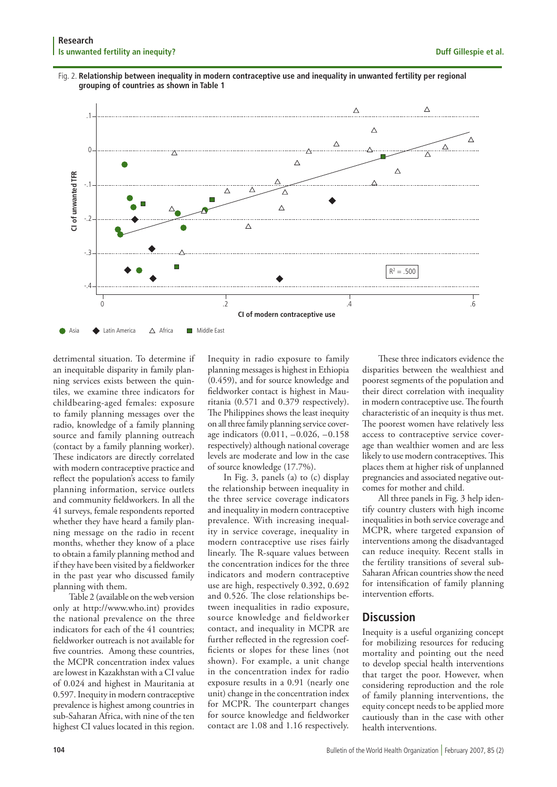



detrimental situation. To determine if an inequitable disparity in family planning services exists between the quintiles, we examine three indicators for childbearing-aged females: exposure to family planning messages over the radio, knowledge of a family planning source and family planning outreach (contact by a family planning worker). These indicators are directly correlated with modern contraceptive practice and reflect the population's access to family planning information, service outlets and community fieldworkers. In all the 41 surveys, female respondents reported whether they have heard a family planning message on the radio in recent months, whether they know of a place to obtain a family planning method and if they have been visited by a fieldworker in the past year who discussed family planning with them.

Table 2 (available on the web version only at http://www.who.int) provides the national prevalence on the three indicators for each of the 41 countries; fieldworker outreach is not available for five countries. Among these countries, the MCPR concentration index values are lowest in Kazakhstan with a CI value of 0.024 and highest in Mauritania at 0.597. Inequity in modern contraceptive prevalence is highest among countries in sub-Saharan Africa, with nine of the ten highest CI values located in this region.

Inequity in radio exposure to family planning messages is highest in Ethiopia (0.459), and for source knowledge and fieldworker contact is highest in Mauritania (0.571 and 0.379 respectively). The Philippines shows the least inequity on all three family planning service coverage indicators (0.011, –0.026, –0.158 respectively) although national coverage levels are moderate and low in the case of source knowledge (17.7%).

In Fig. 3, panels (a) to (c) display the relationship between inequality in the three service coverage indicators and inequality in modern contraceptive prevalence. With increasing inequality in service coverage, inequality in modern contraceptive use rises fairly linearly. The R-square values between the concentration indices for the three indicators and modern contraceptive use are high, respectively 0.392, 0.692 and 0.526. The close relationships between inequalities in radio exposure, source knowledge and fieldworker contact, and inequality in MCPR are further reflected in the regression coefficients or slopes for these lines (not shown). For example, a unit change in the concentration index for radio exposure results in a 0.91 (nearly one unit) change in the concentration index for MCPR. The counterpart changes for source knowledge and fieldworker contact are 1.08 and 1.16 respectively.

These three indicators evidence the disparities between the wealthiest and poorest segments of the population and their direct correlation with inequality in modern contraceptive use. The fourth characteristic of an inequity is thus met. The poorest women have relatively less access to contraceptive service coverage than wealthier women and are less likely to use modern contraceptives. This places them at higher risk of unplanned pregnancies and associated negative outcomes for mother and child.

All three panels in Fig. 3 help identify country clusters with high income inequalities in both service coverage and MCPR, where targeted expansion of interventions among the disadvantaged can reduce inequity. Recent stalls in the fertility transitions of several sub-Saharan African countries show the need for intensification of family planning intervention efforts.

# **Discussion**

Inequity is a useful organizing concept for mobilizing resources for reducing mortality and pointing out the need to develop special health interventions that target the poor. However, when considering reproduction and the role of family planning interventions, the equity concept needs to be applied more cautiously than in the case with other health interventions.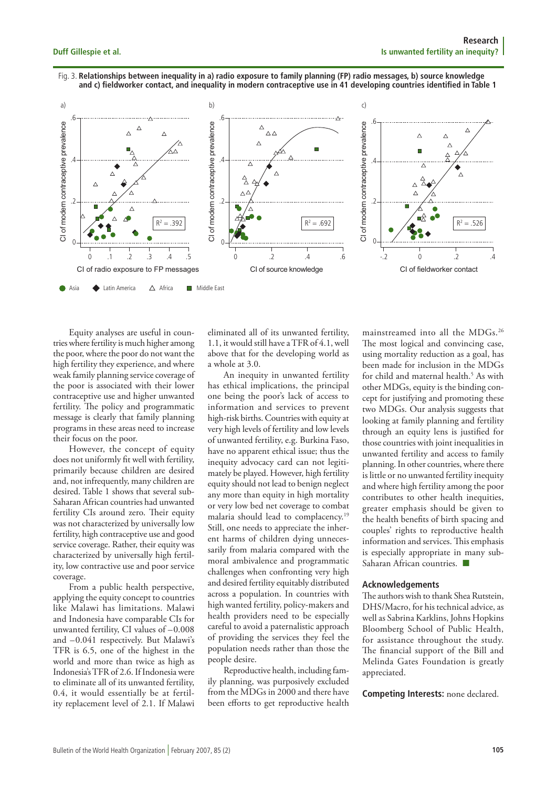#### Fig. 3. Relationships between inequality in a) radio exposure to family planning (FP) radio messages, b) source knowledge and c) fieldworker contact, and inequality in modern contraceptive use in 41 developing countries identified in Table 1



Equity analyses are useful in countries where fertility is much higher among the poor, where the poor do not want the high fertility they experience, and where weak family planning service coverage of the poor is associated with their lower contraceptive use and higher unwanted fertility. The policy and programmatic message is clearly that family planning programs in these areas need to increase their focus on the poor.

However, the concept of equity does not uniformly fit well with fertility, primarily because children are desired and, not infrequently, many children are desired. Table 1 shows that several sub-Saharan African countries had unwanted fertility CIs around zero. Their equity was not characterized by universally low fertility, high contraceptive use and good service coverage. Rather, their equity was characterized by universally high fertility, low contractive use and poor service coverage.

From a public health perspective, applying the equity concept to countries like Malawi has limitations. Malawi and Indonesia have comparable CIs for unwanted fertility, CI values of -0.008 and -0.041 respectively. But Malawi's TFR is 6.5, one of the highest in the world and more than twice as high as Indonesia's TFR of 2.6. If Indonesia were to eliminate all of its unwanted fertility. 0.4, it would essentially be at fertility replacement level of 2.1. If Malawi

eliminated all of its unwanted fertility, 1.1, it would still have a TFR of 4.1, well above that for the developing world as a whole at 3.0.

An inequity in unwanted fertility has ethical implications, the principal one being the poor's lack of access to information and services to prevent high-risk births. Countries with equity at very high levels of fertility and low levels of unwanted fertility, e.g. Burkina Faso, have no apparent ethical issue; thus the inequity advocacy card can not legitimately be played. However, high fertility equity should not lead to benign neglect any more than equity in high mortality or very low bed net coverage to combat malaria should lead to complacency.<sup>19</sup> Still, one needs to appreciate the inherent harms of children dying unnecessarily from malaria compared with the moral ambivalence and programmatic challenges when confronting very high and desired fertility equitably distributed across a population. In countries with high wanted fertility, policy-makers and health providers need to be especially careful to avoid a paternalistic approach of providing the services they feel the population needs rather than those the people desire.

Reproductive health, including family planning, was purposively excluded from the MDGs in 2000 and there have been efforts to get reproductive health

mainstreamed into all the MDGs.<sup>26</sup> The most logical and convincing case, using mortality reduction as a goal, has been made for inclusion in the MDGs for child and maternal health.<sup>5</sup> As with other MDGs, equity is the binding concept for justifying and promoting these two MDGs. Our analysis suggests that looking at family planning and fertility through an equity lens is justified for those countries with joint inequalities in unwanted fertility and access to family planning. In other countries, where there is little or no unwanted fertility inequity and where high fertility among the poor contributes to other health inequities, greater emphasis should be given to the health benefits of birth spacing and couples' rights to reproductive health information and services. This emphasis is especially appropriate in many sub-Saharan African countries.

#### **Acknowledgements**

The authors wish to thank Shea Rutstein, DHS/Macro, for his technical advice, as well as Sabrina Karklins, Johns Hopkins Bloomberg School of Public Health, for assistance throughout the study. The financial support of the Bill and Melinda Gates Foundation is greatly appreciated.

**Competing Interests: none declared.**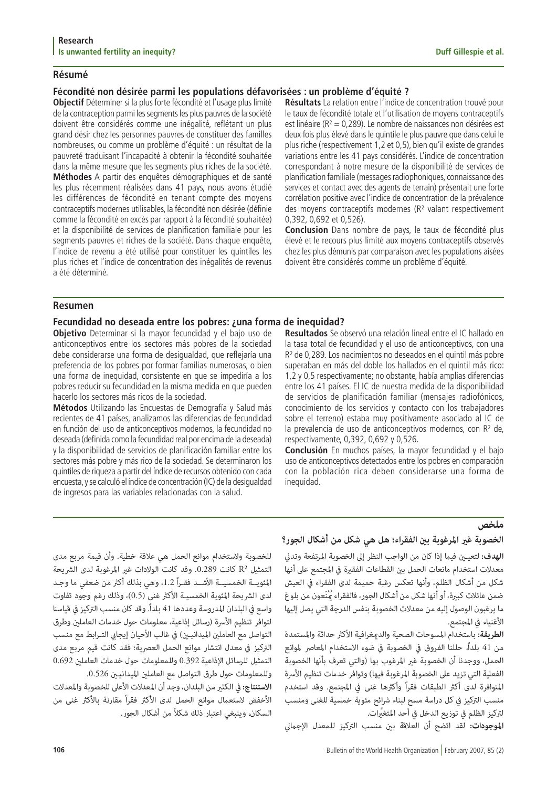# **Résumé**

# **Fécondité non désirée parmi les populations défavorisées : un problème d'équité ?**

**Objectif** Déterminer si la plus forte fécondité et l'usage plus limité de la contraception parmi les segments les plus pauvres de la société doivent être considérés comme une inégalité, reflétant un plus grand désir chez les personnes pauvres de constituer des familles nombreuses, ou comme un problème d'équité : un résultat de la pauvreté traduisant l'incapacité à obtenir la fécondité souhaitée dans la même mesure que les segments plus riches de la société. **Méthodes** A partir des enquêtes démographiques et de santé les plus récemment réalisées dans 41 pays, nous avons étudié les différences de fécondité en tenant compte des moyens contraceptifs modernes utilisables, la fécondité non désirée (définie comme la fécondité en excès par rapport à la fécondité souhaitée) et la disponibilité de services de planification familiale pour les segments pauvres et riches de la société. Dans chaque enquête, l'indice de revenu a été utilisé pour constituer les quintiles les plus riches et l'indice de concentration des inégalités de revenus a été déterminé.

**Résultats** La relation entre l'indice de concentration trouvé pour le taux de fécondité totale et l'utilisation de moyens contraceptifs est linéaire ( $R^2 = 0.289$ ). Le nombre de naissances non désirées est deux fois plus élevé dans le quintile le plus pauvre que dans celui le plus riche (respectivement 1,2 et 0,5), bien qu'il existe de grandes variations entre les 41 pays considérés. L'indice de concentration correspondant à notre mesure de la disponibilité de services de planification familiale (messages radiophoniques, connaissance des services et contact avec des agents de terrain) présentait une forte corrélation positive avec l'indice de concentration de la prévalence des moyens contraceptifs modernes (R² valant respectivement 0,392, 0,692 et 0,526).

**Conclusion** Dans nombre de pays, le taux de fécondité plus élevé et le recours plus limité aux moyens contraceptifs observés chez les plus démunis par comparaison avec les populations aisées doivent être considérés comme un problème d'équité.

# **Resumen**

# **Fecundidad no deseada entre los pobres: ¿una forma de inequidad?**

**Objetivo** Determinar si la mayor fecundidad y el bajo uso de anticonceptivos entre los sectores más pobres de la sociedad debe considerarse una forma de desigualdad, que reflejaría una preferencia de los pobres por formar familias numerosas, o bien una forma de inequidad, consistente en que se impediría a los pobres reducir su fecundidad en la misma medida en que pueden hacerlo los sectores más ricos de la sociedad.

**Métodos** Utilizando las Encuestas de Demografía y Salud más recientes de 41 países, analizamos las diferencias de fecundidad en función del uso de anticonceptivos modernos, la fecundidad no deseada (definida como la fecundidad real por encima de la deseada) y la disponibilidad de servicios de planificación familiar entre los sectores más pobre y más rico de la sociedad. Se determinaron los quintiles de riqueza a partir del índice de recursos obtenido con cada encuesta, y se calculó el índice de concentración (IC) de la desigualdad de ingresos para las variables relacionadas con la salud.

**Resultados** Se observó una relación lineal entre el IC hallado en la tasa total de fecundidad y el uso de anticonceptivos, con una R² de 0,289. Los nacimientos no deseados en el quintil más pobre superaban en más del doble los hallados en el quintil más rico: 1,2 y 0,5 respectivamente; no obstante, había amplias diferencias entre los 41 países. El IC de nuestra medida de la disponibilidad de servicios de planificación familiar (mensajes radiofónicos, conocimiento de los servicios y contacto con los trabajadores sobre el terreno) estaba muy positivamente asociado al IC de la prevalencia de uso de anticonceptivos modernos, con R<sup>2</sup> de, respectivamente, 0,392, 0,692 y 0,526.

**Conclusión** En muchos países, la mayor fecundidad y el bajo uso de anticonceptivos detectados entre los pobres en comparación con la población rica deben considerarse una forma de inequidad.

**ملخص**<br>ا**لخصوبة غير المرغوبة بين الفقراء؛ هل هي شكل من أشكال الجور؟<br>الهدف: لتعيـين فيما إذا كان من الواجب النظر إلى الخصوبة المرتفعة وتدني<br>الهدف: لتعيـين فيما إذا كان من الواجب النظر إلى الخصوبة المرتفعة وتدني<br>مدلات التخد** 

للخصوبة ولاستخدام موانع الحمل هي علاقة خطية. وأن قيمة مربع مدى<br>التمثيل <sup>7</sup>A كانت 0.289. وقد كانت الولادات غير المرغوبة لدى الشريحة<br>المثويـــة الخمسيـــة الأشـــد فقــراً 1.2، وهي بذلك أكثر من ضعفي ما وجـد<br>لدى الشريحة المئ وللمعلومات حول طرق التواصل مع العاملين الميدانيـين 0.526.<br>ا**لاستنتاج:** في الكثير من البلدان، وجد أن المعدلات الأعلى للخصوبة والمعدلات<br>الأخفض لاستعمال موانع الحمل لدى الأكثر فقراً مقارنة بالأكثر غنى من<br>السكان، وبنبغى ا